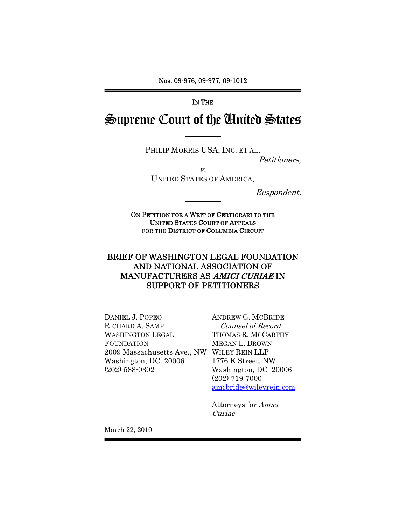Nos. 09-976, 09-977, 09-1012

IN THE

Supreme Court of the United States

PHILIP MORRIS USA, INC. ET AL,

Petitioners,

v.

UNITED STATES OF AMERICA,

Respondent.

ON PETITION FOR A WRIT OF CERTIORARI TO THE UNITED STATES COURT OF APPEALS FOR THE DISTRICT OF COLUMBIA CIRCUIT

## BRIEF OF WASHINGTON LEGAL FOUNDATION AND NATIONAL ASSOCIATION OF MANUFACTURERS AS AMICI CURIAE IN SUPPORT OF PETITIONERS

DANIEL J. POPEO RICHARD A. SAMP WASHINGTON LEGAL FOUNDATION 2009 Massachusetts Ave., NW WILEY REIN LLP Washington, DC 20006 (202) 588-0302

ANDREW G. MCBRIDE Counsel of Record THOMAS R. MCCARTHY MEGAN L. BROWN 1776 K Street, NW Washington, DC 20006 (202) 719-7000 amcbride@wileyrein.com

Attorneys for Amici Curiae

March 22, 2010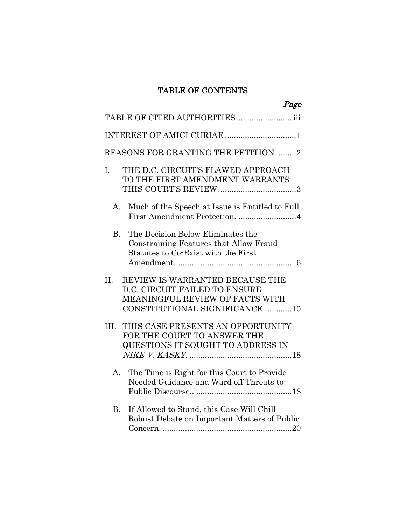# TABLE OF CONTENTS

| Page                                                                                                                                            |
|-------------------------------------------------------------------------------------------------------------------------------------------------|
| TABLE OF CITED AUTHORITIES iii                                                                                                                  |
| INTEREST OF AMICI CURIAE 1                                                                                                                      |
| REASONS FOR GRANTING THE PETITION 2                                                                                                             |
| THE D.C. CIRCUIT'S FLAWED APPROACH<br>I.<br>TO THE FIRST AMENDMENT WARRANTS                                                                     |
| Much of the Speech at Issue is Entitled to Full<br>A.<br>First Amendment Protection. 4                                                          |
| The Decision Below Eliminates the<br>$B_{\cdot}$<br>Constraining Features that Allow Fraud<br>Statutes to Co-Exist with the First               |
| $\Pi$ .<br>REVIEW IS WARRANTED BECAUSE THE<br>D.C. CIRCUIT FAILED TO ENSURE<br>MEANINGFUL REVIEW OF FACTS WITH<br>CONSTITUTIONAL SIGNIFICANCE10 |
| THIS CASE PRESENTS AN OPPORTUNITY<br>III.<br>FOR THE COURT TO ANSWER THE<br>QUESTIONS IT SOUGHT TO ADDRESS IN                                   |
| The Time is Right for this Court to Provide<br>A.<br>Needed Guidance and Ward off Threats to                                                    |
| If Allowed to Stand, this Case Will Chill<br>В.<br>Robust Debate on Important Matters of Public                                                 |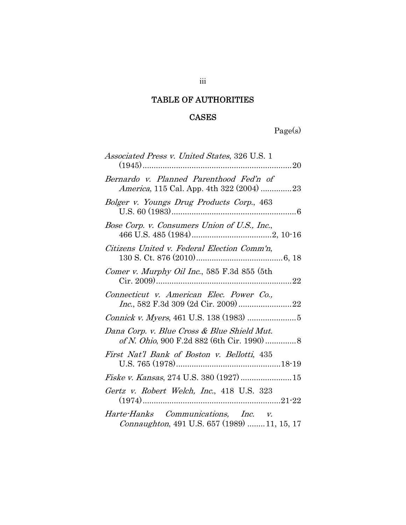## TABLE OF AUTHORITIES

## CASES

Page(s)

| <i>Associated Press v. United States, 326 U.S. 1</i><br>. 20                        |
|-------------------------------------------------------------------------------------|
| Bernardo v. Planned Parenthood Fed'n of<br>America, 115 Cal. App. 4th 322 (2004) 23 |
| Bolger v. Youngs Drug Products Corp., 463                                           |
| Bose Corp. v. Consumers Union of U.S., Inc.,                                        |
| Citizens United v. Federal Election Comm'n,                                         |
| Comer v. Murphy Oil Inc., 585 F.3d 855 (5th                                         |
| Connecticut v. American Elec. Power Co.,                                            |
|                                                                                     |
| Dana Corp. v. Blue Cross & Blue Shield Mut.                                         |
| First Nat'l Bank of Boston v. Bellotti, 435                                         |
| Fiske v. Kansas, 274 U.S. 380 (1927)  15                                            |
| Gertz v. Robert Welch, Inc., 418 U.S. 323                                           |
| Harte-Hanks Communications, Inc. v.<br>Connaughton, 491 U.S. 657 (1989) 11, 15, 17  |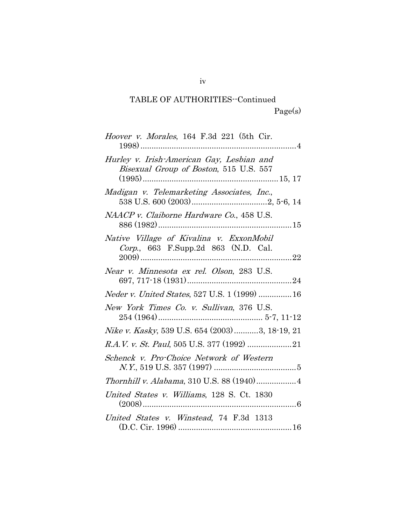# TABLE OF AUTHORITIES--Continued Page(s)

| <i>Hoover v. Morales</i> , 164 F.3d 221 (5th Cir.                                   |
|-------------------------------------------------------------------------------------|
| Hurley v. Irish-American Gay, Lesbian and<br>Bisexual Group of Boston, 515 U.S. 557 |
| Madigan v. Telemarketing Associates, Inc.,                                          |
| NAACP v. Claiborne Hardware Co., 458 U.S.                                           |
| Native Village of Kivalina v. ExxonMobil<br>Corp., 663 F.Supp.2d 863 (N.D. Cal.     |
| Near v. Minnesota ex rel. Olson, 283 U.S.                                           |
| Neder v. United States, 527 U.S. 1 (1999)  16                                       |
| New York Times Co. v. Sullivan, 376 U.S.                                            |
| Nike v. Kasky, 539 U.S. 654 (2003)3, 18-19, 21                                      |
|                                                                                     |
| Schenck v. Pro-Choice Network of Western                                            |
| Thornhill v. Alabama, 310 U.S. 88 (1940) 4                                          |
| United States v. Williams, 128 S. Ct. 1830                                          |
| United States v. Winstead, 74 F.3d 1313                                             |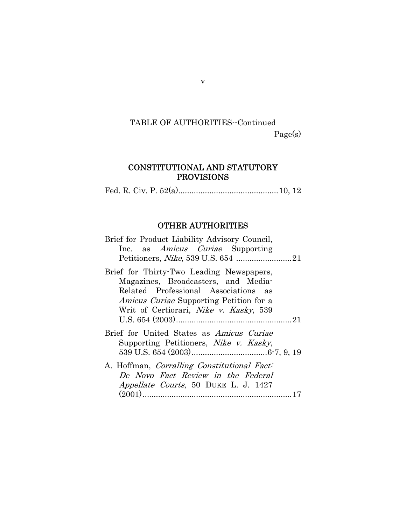# TABLE OF AUTHORITIES--Continued Page(s)

## CONSTITUTIONAL AND STATUTORY PROVISIONS

Fed. R. Civ. P. 52(a).............................................10, 12

### OTHER AUTHORITIES

| Brief for Product Liability Advisory Council,<br>Inc. as <i>Amicus Curiae</i> Supporting                                                                                                                                    |
|-----------------------------------------------------------------------------------------------------------------------------------------------------------------------------------------------------------------------------|
| Brief for Thirty-Two Leading Newspapers,<br>Magazines, Broadcasters, and Media-<br>Related Professional Associations as<br><i>Amicus Curiae</i> Supporting Petition for a<br>Writ of Certiorari, <i>Nike v. Kasky</i> , 539 |
| Brief for United States as <i>Amicus Curiae</i><br>Supporting Petitioners, <i>Nike v. Kasky</i> ,                                                                                                                           |
| A. Hoffman, Corralling Constitutional Fact:<br>De Novo Fact Review in the Federal<br><i>Appellate Courts</i> , 50 DUKE L. J. 1427                                                                                           |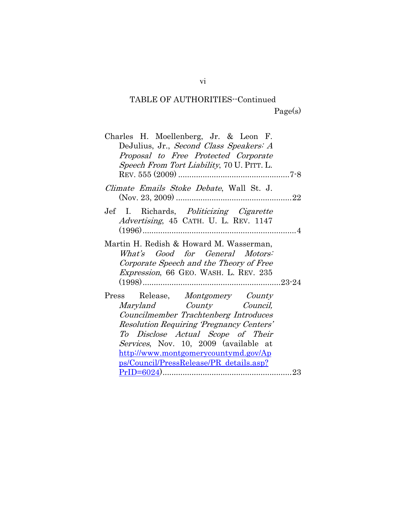# TABLE OF AUTHORITIES--Continued Page(s)

| DeJulius, Jr., Second Class Speakers: A<br>Proposal to Free Protected Corporate<br><i>Speech From Tort Liability, 70 U. PITT. L.</i><br>Climate Emails Stoke Debate, Wall St. J.<br>Jef I. Richards, Politicizing Cigarette<br><i>Advertising</i> , 45 CATH. U. L. REV. 1147<br>Martin H. Redish & Howard M. Wasserman,<br>What's Good for General Motors:<br>Corporate Speech and the Theory of Free<br><i>Expression</i> , 66 GEO. WASH. L. REV. 235 |
|--------------------------------------------------------------------------------------------------------------------------------------------------------------------------------------------------------------------------------------------------------------------------------------------------------------------------------------------------------------------------------------------------------------------------------------------------------|
|                                                                                                                                                                                                                                                                                                                                                                                                                                                        |
|                                                                                                                                                                                                                                                                                                                                                                                                                                                        |
|                                                                                                                                                                                                                                                                                                                                                                                                                                                        |
|                                                                                                                                                                                                                                                                                                                                                                                                                                                        |
|                                                                                                                                                                                                                                                                                                                                                                                                                                                        |
|                                                                                                                                                                                                                                                                                                                                                                                                                                                        |
|                                                                                                                                                                                                                                                                                                                                                                                                                                                        |
|                                                                                                                                                                                                                                                                                                                                                                                                                                                        |
|                                                                                                                                                                                                                                                                                                                                                                                                                                                        |
|                                                                                                                                                                                                                                                                                                                                                                                                                                                        |
|                                                                                                                                                                                                                                                                                                                                                                                                                                                        |
|                                                                                                                                                                                                                                                                                                                                                                                                                                                        |
|                                                                                                                                                                                                                                                                                                                                                                                                                                                        |
| Press Release, Montgomery County                                                                                                                                                                                                                                                                                                                                                                                                                       |
| Maryland County Council,                                                                                                                                                                                                                                                                                                                                                                                                                               |
| Councilmember Trachtenberg Introduces                                                                                                                                                                                                                                                                                                                                                                                                                  |
| Resolution Requiring 'Pregnancy Centers'                                                                                                                                                                                                                                                                                                                                                                                                               |
| To Disclose Actual Scope of Their                                                                                                                                                                                                                                                                                                                                                                                                                      |
|                                                                                                                                                                                                                                                                                                                                                                                                                                                        |
| Services, Nov. 10, 2009 (available at                                                                                                                                                                                                                                                                                                                                                                                                                  |
| http://www.montgomerycountymd.gov/Ap                                                                                                                                                                                                                                                                                                                                                                                                                   |
| <u>ps/Council/PressRelease/PR_details.asp?</u>                                                                                                                                                                                                                                                                                                                                                                                                         |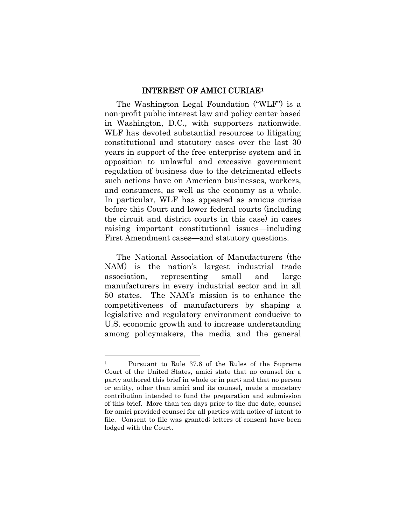### INTEREST OF AMICI CURIAE1

The Washington Legal Foundation ("WLF") is a non-profit public interest law and policy center based in Washington, D.C., with supporters nationwide. WLF has devoted substantial resources to litigating constitutional and statutory cases over the last 30 years in support of the free enterprise system and in opposition to unlawful and excessive government regulation of business due to the detrimental effects such actions have on American businesses, workers, and consumers, as well as the economy as a whole. In particular, WLF has appeared as amicus curiae before this Court and lower federal courts (including the circuit and district courts in this case) in cases raising important constitutional issues—including First Amendment cases—and statutory questions.

The National Association of Manufacturers (the NAM) is the nation's largest industrial trade association, representing small and large manufacturers in every industrial sector and in all 50 states. The NAM's mission is to enhance the competitiveness of manufacturers by shaping a legislative and regulatory environment conducive to U.S. economic growth and to increase understanding among policymakers, the media and the general

<sup>1</sup> Pursuant to Rule 37.6 of the Rules of the Supreme Court of the United States, amici state that no counsel for a party authored this brief in whole or in part; and that no person or entity, other than amici and its counsel, made a monetary contribution intended to fund the preparation and submission of this brief. More than ten days prior to the due date, counsel for amici provided counsel for all parties with notice of intent to file. Consent to file was granted; letters of consent have been lodged with the Court.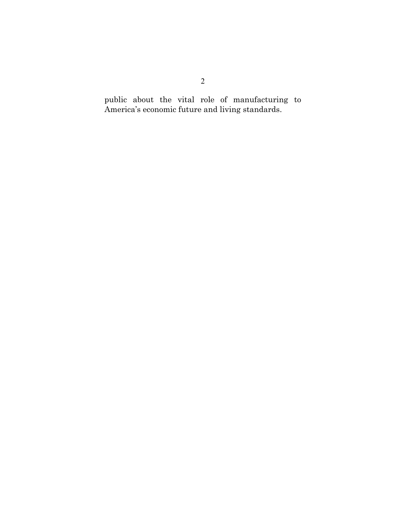public about the vital role of manufacturing to America's economic future and living standards.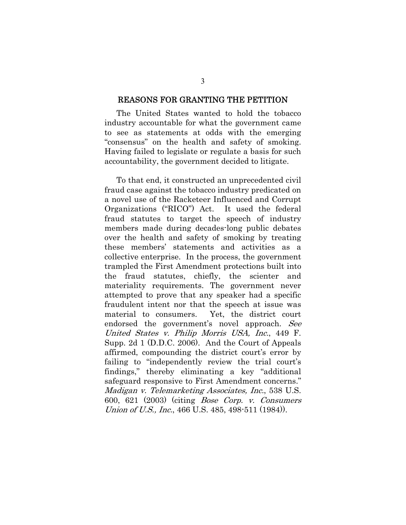#### REASONS FOR GRANTING THE PETITION

The United States wanted to hold the tobacco industry accountable for what the government came to see as statements at odds with the emerging "consensus" on the health and safety of smoking. Having failed to legislate or regulate a basis for such accountability, the government decided to litigate.

To that end, it constructed an unprecedented civil fraud case against the tobacco industry predicated on a novel use of the Racketeer Influenced and Corrupt Organizations ("RICO") Act. It used the federal fraud statutes to target the speech of industry members made during decades-long public debates over the health and safety of smoking by treating these members' statements and activities as a collective enterprise. In the process, the government trampled the First Amendment protections built into the fraud statutes, chiefly, the scienter and materiality requirements. The government never attempted to prove that any speaker had a specific fraudulent intent nor that the speech at issue was material to consumers. Yet, the district court endorsed the government's novel approach. See United States v. Philip Morris USA, Inc., 449 F. Supp. 2d 1 (D.D.C. 2006). And the Court of Appeals affirmed, compounding the district court's error by failing to "independently review the trial court's findings," thereby eliminating a key "additional safeguard responsive to First Amendment concerns." Madigan v. Telemarketing Associates, Inc., 538 U.S. 600, 621 (2003) (citing Bose Corp. v. Consumers Union of U.S., Inc., 466 U.S. 485, 498-511 (1984)).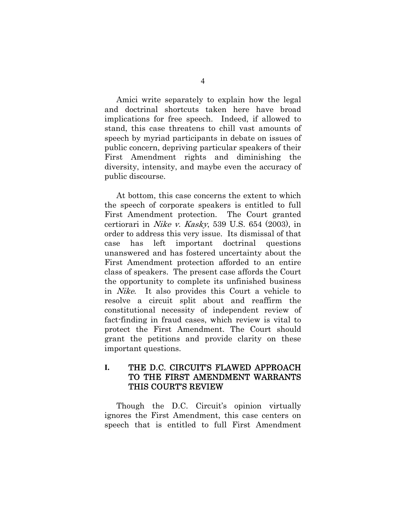Amici write separately to explain how the legal and doctrinal shortcuts taken here have broad implications for free speech. Indeed, if allowed to stand, this case threatens to chill vast amounts of speech by myriad participants in debate on issues of public concern, depriving particular speakers of their First Amendment rights and diminishing the diversity, intensity, and maybe even the accuracy of public discourse.

At bottom, this case concerns the extent to which the speech of corporate speakers is entitled to full First Amendment protection. The Court granted certiorari in Nike v. Kasky, 539 U.S. 654 (2003), in order to address this very issue. Its dismissal of that case has left important doctrinal questions unanswered and has fostered uncertainty about the First Amendment protection afforded to an entire class of speakers. The present case affords the Court the opportunity to complete its unfinished business in Nike. It also provides this Court a vehicle to resolve a circuit split about and reaffirm the constitutional necessity of independent review of fact-finding in fraud cases, which review is vital to protect the First Amendment. The Court should grant the petitions and provide clarity on these important questions.

### **I.** THE D.C. CIRCUIT'S FLAWED APPROACH TO THE FIRST AMENDMENT WARRANTS THIS COURT'S REVIEW

Though the D.C. Circuit's opinion virtually ignores the First Amendment, this case centers on speech that is entitled to full First Amendment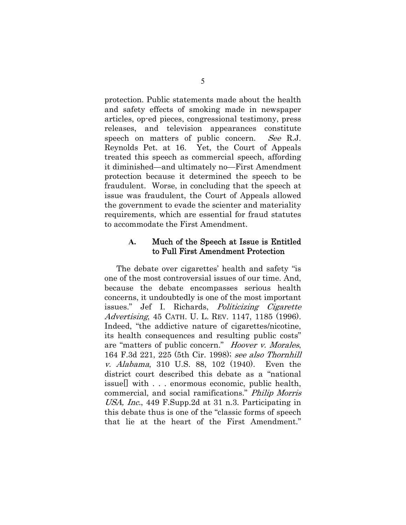protection. Public statements made about the health and safety effects of smoking made in newspaper articles, op-ed pieces, congressional testimony, press releases, and television appearances constitute speech on matters of public concern. See R.J. Reynolds Pet. at 16. Yet, the Court of Appeals treated this speech as commercial speech, affording it diminished—and ultimately no—First Amendment protection because it determined the speech to be fraudulent. Worse, in concluding that the speech at issue was fraudulent, the Court of Appeals allowed the government to evade the scienter and materiality requirements, which are essential for fraud statutes to accommodate the First Amendment.

### **A.** Much of the Speech at Issue is Entitled to Full First Amendment Protection

The debate over cigarettes' health and safety "is one of the most controversial issues of our time. And, because the debate encompasses serious health concerns, it undoubtedly is one of the most important issues." Jef I. Richards, Politicizing Cigarette Advertising, 45 CATH. U. L. REV. 1147, 1185 (1996). Indeed, "the addictive nature of cigarettes/nicotine, its health consequences and resulting public costs" are "matters of public concern." Hoover v. Morales, 164 F.3d 221, 225 (5th Cir. 1998); see also Thornhill v. Alabama, 310 U.S. 88, 102 (1940). Even the district court described this debate as a "national issue[] with . . . enormous economic, public health, commercial, and social ramifications." Philip Morris USA, Inc., 449 F.Supp.2d at 31 n.3. Participating in this debate thus is one of the "classic forms of speech that lie at the heart of the First Amendment."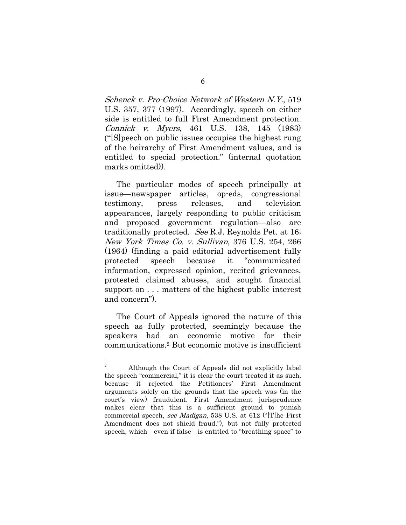Schenck v. Pro-Choice Network of Western N.Y., 519 U.S. 357, 377 (1997). Accordingly, speech on either side is entitled to full First Amendment protection. Connick v. Myers, 461 U.S. 138, 145 (1983) ("[S]peech on public issues occupies the highest rung of the heirarchy of First Amendment values, and is entitled to special protection." (internal quotation marks omitted)).

The particular modes of speech principally at issue—newspaper articles, op-eds, congressional testimony, press releases, and television appearances, largely responding to public criticism and proposed government regulation—also are traditionally protected. See R.J. Reynolds Pet. at 16; New York Times Co. v. Sullivan, 376 U.S. 254, 266 (1964) (finding a paid editorial advertisement fully protected speech because it "communicated information, expressed opinion, recited grievances, protested claimed abuses, and sought financial support on . . . matters of the highest public interest and concern").

The Court of Appeals ignored the nature of this speech as fully protected, seemingly because the speakers had an economic motive for their communications.2 But economic motive is insufficient

 $\sqrt{2}$ Although the Court of Appeals did not explicitly label the speech "commercial," it is clear the court treated it as such, because it rejected the Petitioners' First Amendment arguments solely on the grounds that the speech was (in the court's view) fraudulent. First Amendment jurisprudence makes clear that this is a sufficient ground to punish commercial speech, see Madigan, 538 U.S. at 612 ("[T]he First Amendment does not shield fraud."), but not fully protected speech, which—even if false—is entitled to "breathing space" to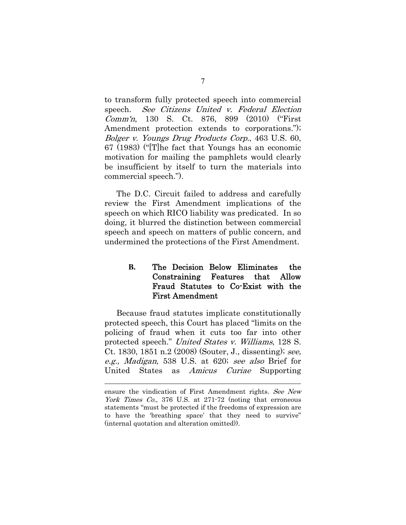to transform fully protected speech into commercial speech. See Citizens United v. Federal Election Comm'n, 130 S. Ct. 876, 899 (2010) ("First Amendment protection extends to corporations."); Bolger v. Youngs Drug Products Corp., 463 U.S. 60, 67 (1983) ("[T]he fact that Youngs has an economic motivation for mailing the pamphlets would clearly be insufficient by itself to turn the materials into commercial speech.").

The D.C. Circuit failed to address and carefully review the First Amendment implications of the speech on which RICO liability was predicated. In so doing, it blurred the distinction between commercial speech and speech on matters of public concern, and undermined the protections of the First Amendment.

### **B.** The Decision Below Eliminates the Constraining Features that Allow Fraud Statutes to Co-Exist with the First Amendment

Because fraud statutes implicate constitutionally protected speech, this Court has placed "limits on the policing of fraud when it cuts too far into other protected speech." United States v. Williams, 128 S. Ct. 1830, 1851 n.2 (2008) (Souter, J., dissenting); see, e.g., Madigan, 538 U.S. at 620; see also Brief for United States as *Amicus Curiae* Supporting

ensure the vindication of First Amendment rights. See New York Times Co., 376 U.S. at 271-72 (noting that erroneous statements "must be protected if the freedoms of expression are to have the 'breathing space' that they need to survive" (internal quotation and alteration omitted)).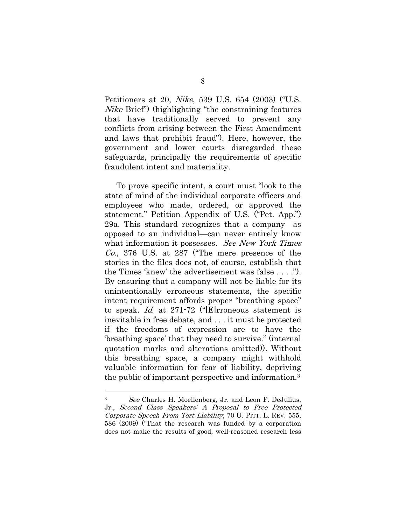Petitioners at 20, Nike, 539 U.S. 654 (2003) ("U.S. Nike Brief") (highlighting "the constraining features that have traditionally served to prevent any conflicts from arising between the First Amendment and laws that prohibit fraud"). Here, however, the government and lower courts disregarded these safeguards, principally the requirements of specific fraudulent intent and materiality.

To prove specific intent, a court must "look to the state of mind of the individual corporate officers and employees who made, ordered, or approved the statement." Petition Appendix of U.S. ("Pet. App.") 29a. This standard recognizes that a company—as opposed to an individual—can never entirely know what information it possesses. See New York Times Co., 376 U.S. at 287 ("The mere presence of the stories in the files does not, of course, establish that the Times 'knew' the advertisement was false . . . ."). By ensuring that a company will not be liable for its unintentionally erroneous statements, the specific intent requirement affords proper "breathing space" to speak. Id. at 271-72 ("[E]rroneous statement is inevitable in free debate, and . . . it must be protected if the freedoms of expression are to have the 'breathing space' that they need to survive." (internal quotation marks and alterations omitted)). Without this breathing space, a company might withhold valuable information for fear of liability, depriving the public of important perspective and information.3

<sup>3</sup> See Charles H. Moellenberg, Jr. and Leon F. DeJulius, Jr., Second Class Speakers: A Proposal to Free Protected Corporate Speech From Tort Liability, 70 U. PITT. L. REV. 555, 586 (2009) ("That the research was funded by a corporation does not make the results of good, well-reasoned research less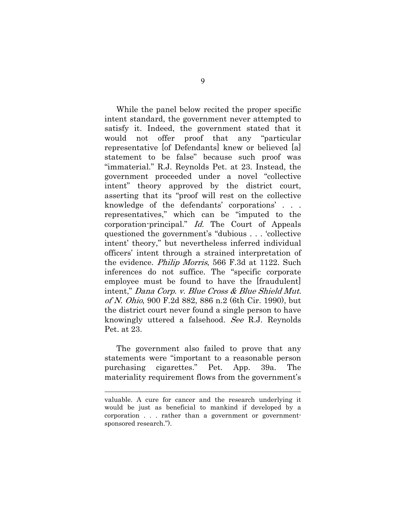While the panel below recited the proper specific intent standard, the government never attempted to satisfy it. Indeed, the government stated that it would not offer proof that any "particular representative [of Defendants] knew or believed [a] statement to be false" because such proof was "immaterial." R.J. Reynolds Pet. at 23. Instead, the government proceeded under a novel "collective intent" theory approved by the district court, asserting that its "proof will rest on the collective knowledge of the defendants' corporations' . . . representatives," which can be "imputed to the corporation-principal." Id. The Court of Appeals questioned the government's "dubious . . . 'collective intent' theory," but nevertheless inferred individual officers' intent through a strained interpretation of the evidence. Philip Morris, 566 F.3d at 1122. Such inferences do not suffice. The "specific corporate employee must be found to have the [fraudulent] intent," Dana Corp. v. Blue Cross & Blue Shield Mut. of N. Ohio, 900 F.2d 882, 886 n.2 (6th Cir. 1990), but the district court never found a single person to have knowingly uttered a falsehood. See R.J. Reynolds Pet. at 23.

The government also failed to prove that any statements were "important to a reasonable person purchasing cigarettes." Pet. App. 39a. The materiality requirement flows from the government's

valuable. A cure for cancer and the research underlying it would be just as beneficial to mankind if developed by a corporation . . . rather than a government or governmentsponsored research.").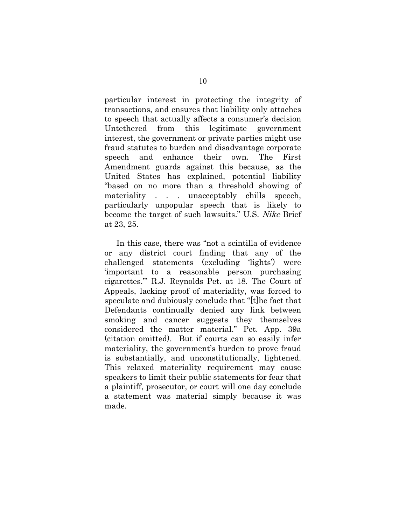particular interest in protecting the integrity of transactions, and ensures that liability only attaches to speech that actually affects a consumer's decision Untethered from this legitimate government interest, the government or private parties might use fraud statutes to burden and disadvantage corporate speech and enhance their own. The First Amendment guards against this because, as the United States has explained, potential liability "based on no more than a threshold showing of materiality . . . unacceptably chills speech, particularly unpopular speech that is likely to become the target of such lawsuits." U.S. Nike Brief at 23, 25.

In this case, there was "not a scintilla of evidence or any district court finding that any of the challenged statements (excluding 'lights') were 'important to a reasonable person purchasing cigarettes.'" R.J. Reynolds Pet. at 18. The Court of Appeals, lacking proof of materiality, was forced to speculate and dubiously conclude that "[t]he fact that Defendants continually denied any link between smoking and cancer suggests they themselves considered the matter material." Pet. App. 39a (citation omitted). But if courts can so easily infer materiality, the government's burden to prove fraud is substantially, and unconstitutionally, lightened. This relaxed materiality requirement may cause speakers to limit their public statements for fear that a plaintiff, prosecutor, or court will one day conclude a statement was material simply because it was made.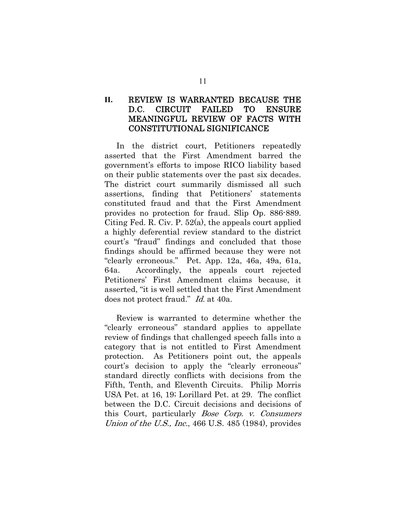### **II.** REVIEW IS WARRANTED BECAUSE THE D.C. CIRCUIT FAILED TO ENSURE MEANINGFUL REVIEW OF FACTS WITH CONSTITUTIONAL SIGNIFICANCE

In the district court, Petitioners repeatedly asserted that the First Amendment barred the government's efforts to impose RICO liability based on their public statements over the past six decades. The district court summarily dismissed all such assertions, finding that Petitioners' statements constituted fraud and that the First Amendment provides no protection for fraud. Slip Op. 886-889. Citing Fed. R. Civ. P. 52(a), the appeals court applied a highly deferential review standard to the district court's "fraud" findings and concluded that those findings should be affirmed because they were not "clearly erroneous." Pet. App. 12a, 46a, 49a, 61a, 64a. Accordingly, the appeals court rejected Petitioners' First Amendment claims because, it asserted, "it is well settled that the First Amendment does not protect fraud." Id. at 40a.

Review is warranted to determine whether the "clearly erroneous" standard applies to appellate review of findings that challenged speech falls into a category that is not entitled to First Amendment protection. As Petitioners point out, the appeals court's decision to apply the "clearly erroneous" standard directly conflicts with decisions from the Fifth, Tenth, and Eleventh Circuits. Philip Morris USA Pet. at 16, 19; Lorillard Pet. at 29. The conflict between the D.C. Circuit decisions and decisions of this Court, particularly Bose Corp. v. Consumers Union of the U.S., Inc., 466 U.S. 485 (1984), provides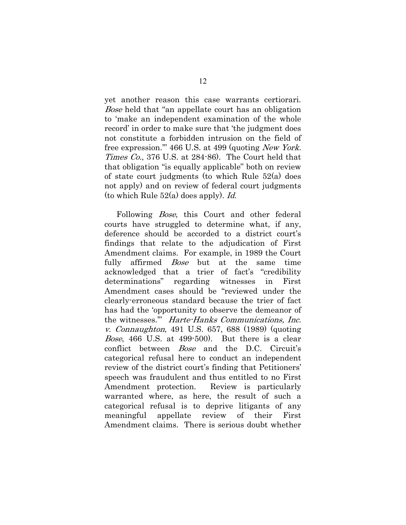yet another reason this case warrants certiorari. Bose held that "an appellate court has an obligation to 'make an independent examination of the whole record' in order to make sure that 'the judgment does not constitute a forbidden intrusion on the field of free expression.'" 466 U.S. at 499 (quoting New York. Times Co., 376 U.S. at 284-86). The Court held that that obligation "is equally applicable" both on review of state court judgments (to which Rule 52(a) does not apply) and on review of federal court judgments (to which Rule  $52(a)$  does apply). Id.

Following *Bose*, this Court and other federal courts have struggled to determine what, if any, deference should be accorded to a district court's findings that relate to the adjudication of First Amendment claims. For example, in 1989 the Court fully affirmed *Bose* but at the same time acknowledged that a trier of fact's "credibility determinations" regarding witnesses in First Amendment cases should be "reviewed under the clearly-erroneous standard because the trier of fact has had the 'opportunity to observe the demeanor of the witnesses.'" Harte-Hanks Communications, Inc. v. Connaughton, 491 U.S. 657, 688 (1989) (quoting Bose, 466 U.S. at 499-500). But there is a clear conflict between Bose and the D.C. Circuit's categorical refusal here to conduct an independent review of the district court's finding that Petitioners' speech was fraudulent and thus entitled to no First Amendment protection. Review is particularly warranted where, as here, the result of such a categorical refusal is to deprive litigants of any meaningful appellate review of their First Amendment claims. There is serious doubt whether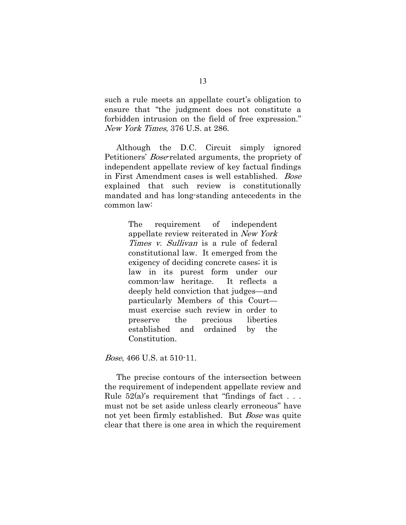such a rule meets an appellate court's obligation to ensure that "the judgment does not constitute a forbidden intrusion on the field of free expression." New York Times, 376 U.S. at 286.

Although the D.C. Circuit simply ignored Petitioners' Bose-related arguments, the propriety of independent appellate review of key factual findings in First Amendment cases is well established. Bose explained that such review is constitutionally mandated and has long-standing antecedents in the common law:

> The requirement of independent appellate review reiterated in New York Times *v. Sullivan* is a rule of federal constitutional law. It emerged from the exigency of deciding concrete cases; it is law in its purest form under our common-law heritage. It reflects a deeply held conviction that judges—and particularly Members of this Court must exercise such review in order to preserve the precious liberties established and ordained by the Constitution.

Bose, 466 U.S. at 510-11.

The precise contours of the intersection between the requirement of independent appellate review and Rule  $52(a)$ 's requirement that "findings of fact ... must not be set aside unless clearly erroneous" have not yet been firmly established. But *Bose* was quite clear that there is one area in which the requirement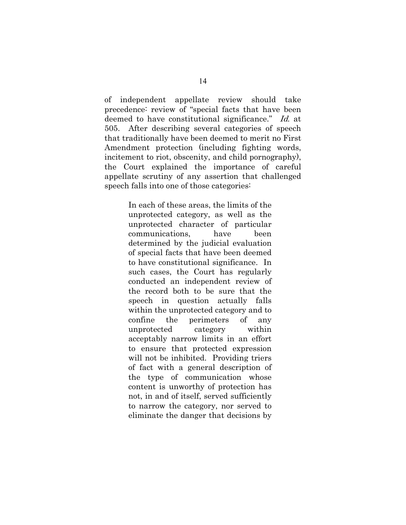of independent appellate review should take precedence: review of "special facts that have been deemed to have constitutional significance." Id. at 505. After describing several categories of speech that traditionally have been deemed to merit no First Amendment protection (including fighting words, incitement to riot, obscenity, and child pornography), the Court explained the importance of careful appellate scrutiny of any assertion that challenged speech falls into one of those categories:

> In each of these areas, the limits of the unprotected category, as well as the unprotected character of particular communications, have been determined by the judicial evaluation of special facts that have been deemed to have constitutional significance. In such cases, the Court has regularly conducted an independent review of the record both to be sure that the speech in question actually falls within the unprotected category and to confine the perimeters of any unprotected category within acceptably narrow limits in an effort to ensure that protected expression will not be inhibited. Providing triers of fact with a general description of the type of communication whose content is unworthy of protection has not, in and of itself, served sufficiently to narrow the category, nor served to eliminate the danger that decisions by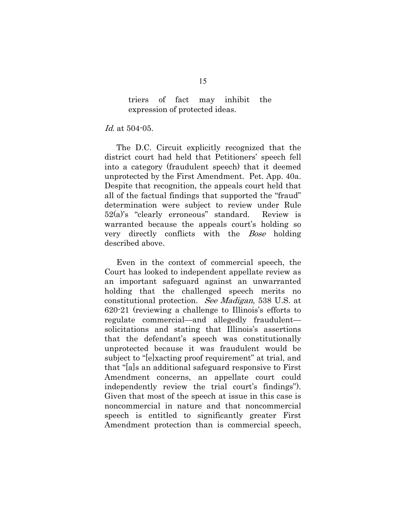### triers of fact may inhibit the expression of protected ideas.

### Id. at 504-05.

The D.C. Circuit explicitly recognized that the district court had held that Petitioners' speech fell into a category (fraudulent speech) that it deemed unprotected by the First Amendment. Pet. App. 40a. Despite that recognition, the appeals court held that all of the factual findings that supported the "fraud" determination were subject to review under Rule 52(a)'s "clearly erroneous" standard. Review is warranted because the appeals court's holding so very directly conflicts with the Bose holding described above.

Even in the context of commercial speech, the Court has looked to independent appellate review as an important safeguard against an unwarranted holding that the challenged speech merits no constitutional protection. See Madigan, 538 U.S. at 620-21 (reviewing a challenge to Illinois's efforts to regulate commercial—and allegedly fraudulent solicitations and stating that Illinois's assertions that the defendant's speech was constitutionally unprotected because it was fraudulent would be subject to "[e]xacting proof requirement" at trial, and that "[a]s an additional safeguard responsive to First Amendment concerns, an appellate court could independently review the trial court's findings"). Given that most of the speech at issue in this case is noncommercial in nature and that noncommercial speech is entitled to significantly greater First Amendment protection than is commercial speech,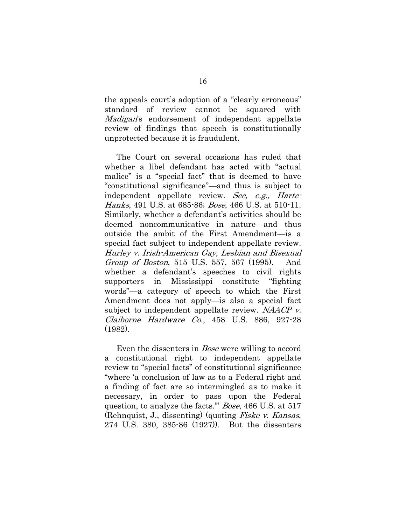the appeals court's adoption of a "clearly erroneous" standard of review cannot be squared with Madigan's endorsement of independent appellate review of findings that speech is constitutionally unprotected because it is fraudulent.

The Court on several occasions has ruled that whether a libel defendant has acted with "actual malice" is a "special fact" that is deemed to have "constitutional significance"—and thus is subject to independent appellate review. See, e.g., Harte-Hanks, 491 U.S. at 685-86; Bose, 466 U.S. at 510-11. Similarly, whether a defendant's activities should be deemed noncommunicative in nature—and thus outside the ambit of the First Amendment—is a special fact subject to independent appellate review. Hurley v. Irish-American Gay, Lesbian and Bisexual Group of Boston, 515 U.S. 557, 567 (1995). And whether a defendant's speeches to civil rights supporters in Mississippi constitute "fighting words"—a category of speech to which the First Amendment does not apply—is also a special fact subject to independent appellate review. NAACP v. Claiborne Hardware Co., 458 U.S. 886, 927-28 (1982).

Even the dissenters in *Bose* were willing to accord a constitutional right to independent appellate review to "special facts" of constitutional significance "where 'a conclusion of law as to a Federal right and a finding of fact are so intermingled as to make it necessary, in order to pass upon the Federal question, to analyze the facts.'" Bose, 466 U.S. at 517 (Rehnquist, J., dissenting) (quoting Fiske v. Kansas, 274 U.S. 380, 385-86 (1927)). But the dissenters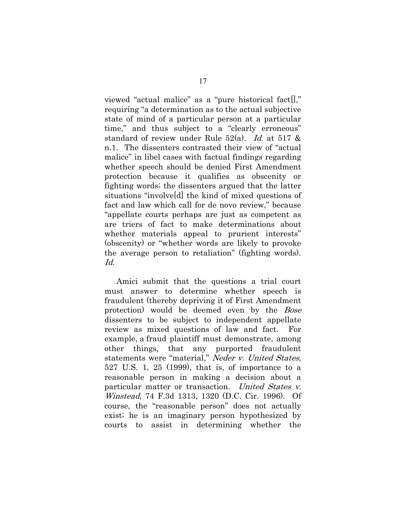viewed "actual malice" as a "pure historical fact[]," requiring "a determination as to the actual subjective state of mind of a particular person at a particular time," and thus subject to a "clearly erroneous" standard of review under Rule  $52(a)$ . *Id.* at  $517 \&$ n.1. The dissenters contrasted their view of "actual malice" in libel cases with factual findings regarding whether speech should be denied First Amendment protection because it qualifies as obscenity or fighting words; the dissenters argued that the latter situations "involve[d] the kind of mixed questions of fact and law which call for de novo review," because "appellate courts perhaps are just as competent as are triers of fact to make determinations about whether materials appeal to prurient interests" (obscenity) or "whether words are likely to provoke the average person to retaliation" (fighting words). Id.

Amici submit that the questions a trial court must answer to determine whether speech is fraudulent (thereby depriving it of First Amendment protection) would be deemed even by the Bose dissenters to be subject to independent appellate review as mixed questions of law and fact. For example, a fraud plaintiff must demonstrate, among other things, that any purported fraudulent statements were "material," Neder v. United States, 527 U.S. 1, 25 (1999), that is, of importance to a reasonable person in making a decision about a particular matter or transaction. United States v. Winstead, 74 F.3d 1313, 1320 (D.C. Cir. 1996). Of course, the "reasonable person" does not actually exist; he is an imaginary person hypothesized by courts to assist in determining whether the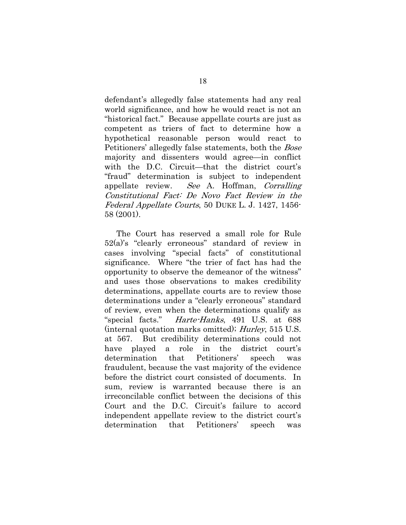defendant's allegedly false statements had any real world significance, and how he would react is not an "historical fact." Because appellate courts are just as competent as triers of fact to determine how a hypothetical reasonable person would react to Petitioners' allegedly false statements, both the Bose majority and dissenters would agree—in conflict with the D.C. Circuit—that the district court's "fraud" determination is subject to independent appellate review. See A. Hoffman, Corralling Constitutional Fact: De Novo Fact Review in the Federal Appellate Courts, 50 DUKE L. J. 1427, 1456- 58 (2001).

The Court has reserved a small role for Rule 52(a)'s "clearly erroneous" standard of review in cases involving "special facts" of constitutional significance. Where "the trier of fact has had the opportunity to observe the demeanor of the witness" and uses those observations to makes credibility determinations, appellate courts are to review those determinations under a "clearly erroneous" standard of review, even when the determinations qualify as "special facts." Harte-Hanks, 491 U.S. at 688 (internal quotation marks omitted); Hurley, 515 U.S. at 567. But credibility determinations could not have played a role in the district court's determination that Petitioners' speech was fraudulent, because the vast majority of the evidence before the district court consisted of documents. In sum, review is warranted because there is an irreconcilable conflict between the decisions of this Court and the D.C. Circuit's failure to accord independent appellate review to the district court's determination that Petitioners' speech was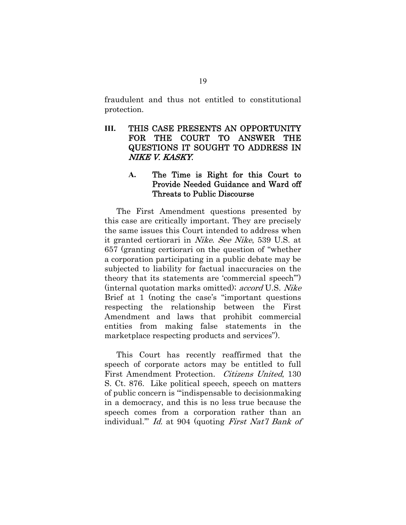fraudulent and thus not entitled to constitutional protection.

**III.** THIS CASE PRESENTS AN OPPORTUNITY FOR THE COURT TO ANSWER THE QUESTIONS IT SOUGHT TO ADDRESS IN NIKE V. KASKY.

### **A.** The Time is Right for this Court to Provide Needed Guidance and Ward off Threats to Public Discourse

The First Amendment questions presented by this case are critically important. They are precisely the same issues this Court intended to address when it granted certiorari in Nike. See Nike, 539 U.S. at 657 (granting certiorari on the question of "whether a corporation participating in a public debate may be subjected to liability for factual inaccuracies on the theory that its statements are 'commercial speech'") (internal quotation marks omitted); accord U.S. Nike Brief at 1 (noting the case's "important questions respecting the relationship between the First Amendment and laws that prohibit commercial entities from making false statements in the marketplace respecting products and services").

This Court has recently reaffirmed that the speech of corporate actors may be entitled to full First Amendment Protection. Citizens United, 130 S. Ct. 876. Like political speech, speech on matters of public concern is "'indispensable to decisionmaking in a democracy, and this is no less true because the speech comes from a corporation rather than an individual.'" Id. at 904 (quoting First Nat'l Bank of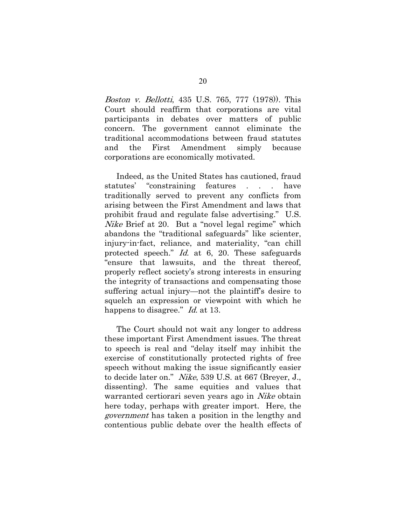Boston v. Bellotti, 435 U.S. 765, 777 (1978)). This Court should reaffirm that corporations are vital participants in debates over matters of public concern. The government cannot eliminate the traditional accommodations between fraud statutes and the First Amendment simply because corporations are economically motivated.

Indeed, as the United States has cautioned, fraud statutes' "constraining features . . . have traditionally served to prevent any conflicts from arising between the First Amendment and laws that prohibit fraud and regulate false advertising." U.S. Nike Brief at 20. But a "novel legal regime" which abandons the "traditional safeguards" like scienter, injury-in-fact, reliance, and materiality, "can chill protected speech." Id. at 6, 20. These safeguards "ensure that lawsuits, and the threat thereof, properly reflect society's strong interests in ensuring the integrity of transactions and compensating those suffering actual injury—not the plaintiff's desire to squelch an expression or viewpoint with which he happens to disagree." *Id.* at 13.

The Court should not wait any longer to address these important First Amendment issues. The threat to speech is real and "delay itself may inhibit the exercise of constitutionally protected rights of free speech without making the issue significantly easier to decide later on." Nike, 539 U.S. at 667 (Breyer, J., dissenting). The same equities and values that warranted certiorari seven years ago in *Nike* obtain here today, perhaps with greater import. Here, the government has taken a position in the lengthy and contentious public debate over the health effects of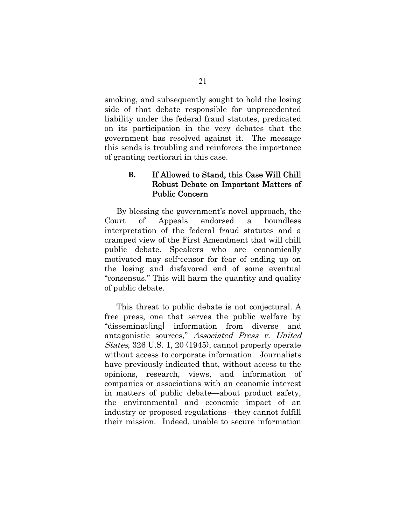smoking, and subsequently sought to hold the losing side of that debate responsible for unprecedented liability under the federal fraud statutes, predicated on its participation in the very debates that the government has resolved against it. The message this sends is troubling and reinforces the importance of granting certiorari in this case.

### **B.** If Allowed to Stand, this Case Will Chill Robust Debate on Important Matters of Public Concern

By blessing the government's novel approach, the Court of Appeals endorsed a boundless interpretation of the federal fraud statutes and a cramped view of the First Amendment that will chill public debate. Speakers who are economically motivated may self-censor for fear of ending up on the losing and disfavored end of some eventual "consensus." This will harm the quantity and quality of public debate.

This threat to public debate is not conjectural. A free press, one that serves the public welfare by "disseminat[ing] information from diverse and antagonistic sources," Associated Press v. United States, 326 U.S. 1, 20 (1945), cannot properly operate without access to corporate information. Journalists have previously indicated that, without access to the opinions, research, views, and information of companies or associations with an economic interest in matters of public debate—about product safety, the environmental and economic impact of an industry or proposed regulations—they cannot fulfill their mission. Indeed, unable to secure information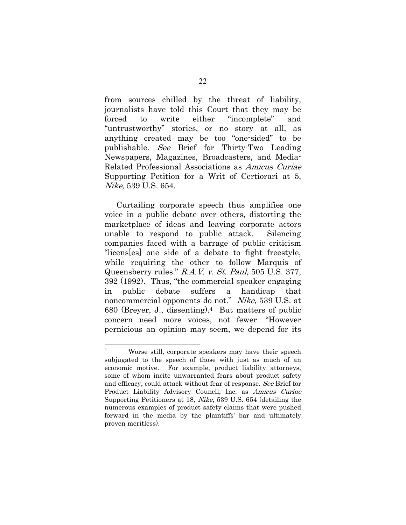from sources chilled by the threat of liability, journalists have told this Court that they may be forced to write either "incomplete" and "untrustworthy" stories, or no story at all, as anything created may be too "one-sided" to be publishable. See Brief for Thirty-Two Leading Newspapers, Magazines, Broadcasters, and Media-Related Professional Associations as Amicus Curiae Supporting Petition for a Writ of Certiorari at 5, Nike, 539 U.S. 654.

Curtailing corporate speech thus amplifies one voice in a public debate over others, distorting the marketplace of ideas and leaving corporate actors unable to respond to public attack. Silencing companies faced with a barrage of public criticism "licens[es] one side of a debate to fight freestyle, while requiring the other to follow Marquis of Queensberry rules." R.A.V. v. St. Paul, 505 U.S. 377, 392 (1992). Thus, "the commercial speaker engaging in public debate suffers a handicap that noncommercial opponents do not." Nike, 539 U.S. at 680 (Breyer, J., dissenting).4 But matters of public concern need more voices, not fewer. "However pernicious an opinion may seem, we depend for its

 $\frac{1}{4}$  Worse still, corporate speakers may have their speech subjugated to the speech of those with just as much of an economic motive. For example, product liability attorneys, some of whom incite unwarranted fears about product safety and efficacy, could attack without fear of response. See Brief for Product Liability Advisory Council, Inc. as Amicus Curiae Supporting Petitioners at 18, Nike, 539 U.S. 654 (detailing the numerous examples of product safety claims that were pushed forward in the media by the plaintiffs' bar and ultimately proven meritless).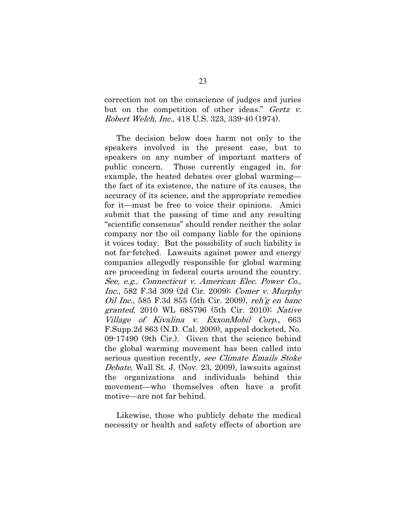correction not on the conscience of judges and juries but on the competition of other ideas." Gertz v. Robert Welch, Inc., 418 U.S. 323, 339-40 (1974).

The decision below does harm not only to the speakers involved in the present case, but to speakers on any number of important matters of public concern. Those currently engaged in, for example, the heated debates over global warming the fact of its existence, the nature of its causes, the accuracy of its science, and the appropriate remedies for it—must be free to voice their opinions. Amici submit that the passing of time and any resulting "scientific consensus" should render neither the solar company nor the oil company liable for the opinions it voices today. But the possibility of such liability is not far-fetched. Lawsuits against power and energy companies allegedly responsible for global warming are proceeding in federal courts around the country. See, e.g., Connecticut v. American Elec. Power Co., Inc., 582 F.3d 309 (2d Cir. 2009); Comer v. Murphy Oil Inc., 585 F.3d 855 (5th Cir. 2009), reh'g en banc granted, 2010 WL 685796 (5th Cir. 2010); Native Village of Kivalina v. ExxonMobil Corp., 663 F.Supp.2d 863 (N.D. Cal. 2009), appeal docketed, No. 09-17490 (9th Cir.). Given that the science behind the global warming movement has been called into serious question recently, see Climate Emails Stoke Debate, Wall St. J. (Nov. 23, 2009), lawsuits against the organizations and individuals behind this movement—who themselves often have a profit motive—are not far behind.

Likewise, those who publicly debate the medical necessity or health and safety effects of abortion are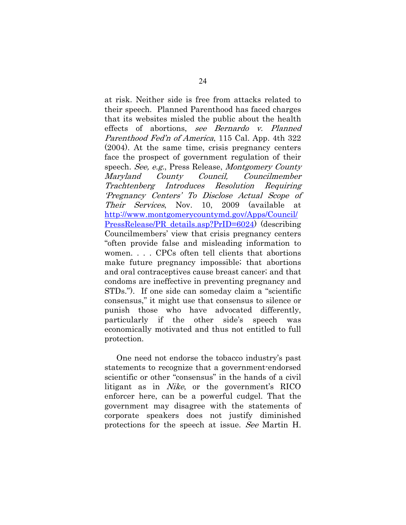at risk. Neither side is free from attacks related to their speech. Planned Parenthood has faced charges that its websites misled the public about the health effects of abortions, see Bernardo v. Planned Parenthood Fed'n of America, 115 Cal. App. 4th 322 (2004). At the same time, crisis pregnancy centers face the prospect of government regulation of their speech. See, e.g., Press Release, Montgomery County Maryland County Council, Councilmember Trachtenberg Introduces Resolution Requiring 'Pregnancy Centers' To Disclose Actual Scope of Their Services, Nov. 10, 2009 (available at http://www.montgomerycountymd.gov/Apps/Council/ PressRelease/PR\_details.asp?PrID=6024) (describing Councilmembers' view that crisis pregnancy centers "often provide false and misleading information to women. . . . CPCs often tell clients that abortions make future pregnancy impossible; that abortions and oral contraceptives cause breast cancer; and that condoms are ineffective in preventing pregnancy and STDs."). If one side can someday claim a "scientific consensus," it might use that consensus to silence or punish those who have advocated differently, particularly if the other side's speech was economically motivated and thus not entitled to full protection.

One need not endorse the tobacco industry's past statements to recognize that a government-endorsed scientific or other "consensus" in the hands of a civil litigant as in Nike, or the government's RICO enforcer here, can be a powerful cudgel. That the government may disagree with the statements of corporate speakers does not justify diminished protections for the speech at issue. See Martin H.